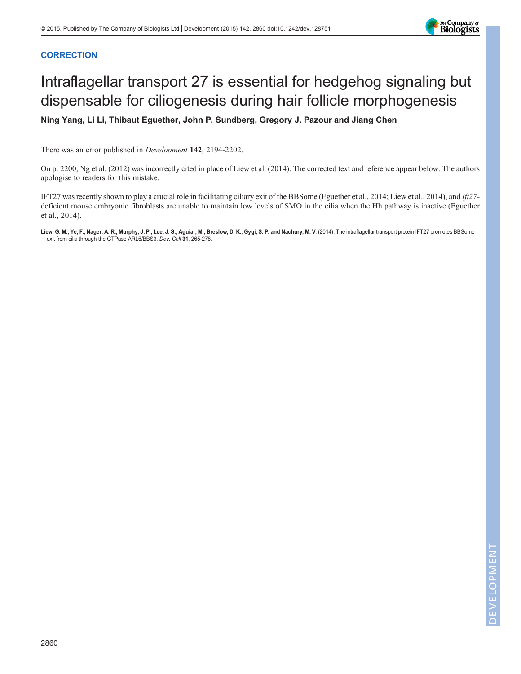

# **CORRECTION**

# Intraflagellar transport 27 is essential for hedgehog signaling but dispensable for ciliogenesis during hair follicle morphogenesis

Ning Yang, Li Li, Thibaut Eguether, John P. Sundberg, Gregory J. Pazour and Jiang Chen

There was an error published in Development 142, 2194-2202.

On p. 2200, Ng et al. (2012) was incorrectly cited in place of Liew et al. (2014). The corrected text and reference appear below. The authors apologise to readers for this mistake.

IFT27 was recently shown to play a crucial role in facilitating ciliary exit of the BBSome (Eguether et al., 2014; Liew et al., 2014), and Ift27 deficient mouse embryonic fibroblasts are unable to maintain low levels of SMO in the cilia when the Hh pathway is inactive (Eguether et al., 2014).

Liew, G. M., Ye, F., Nager, A. R., Murphy, J. P., Lee, J. S., Aguiar, M., Breslow, D. K., Gygi, S. P. and Nachury, M. V. (2014). The intraflagellar transport protein IFT27 promotes BBSome exit from cilia through the GTPase ARL6/BBS3. Dev. Cell 31, 265-278.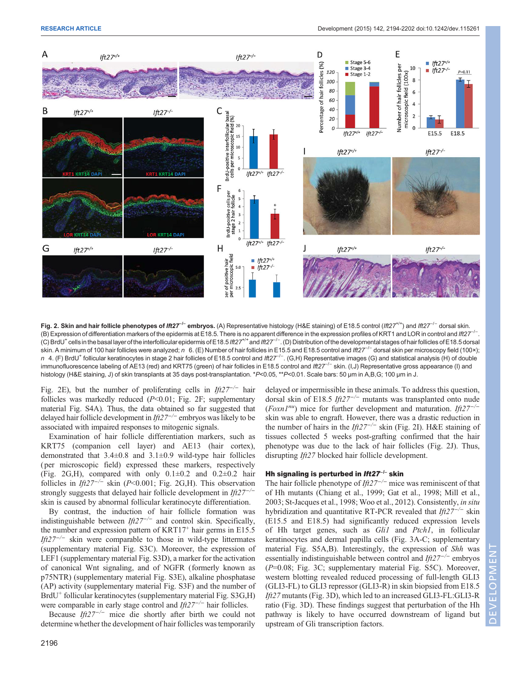Fig. 2. Skin and hair follicle phenotypes of Ift27<sup>-/-</sup> embryos. (A) Representative histology (H&E staining) of E18.5 control (Ift27<sup>+/+</sup>) and Ift27<sup>-/-</sup> dorsal skin. .<br>(B) Expression of differentiation markers of the epidermis at E18.5. There is no apparent difference in the expression profiles of KRT1 and LOR in control and Ift27<sup>-/−</sup>. .<br>(C) BrdU<sup>+</sup> cells in the basal layer of the interfollicular epidermis of E18.5 *lft27<sup>+/+</sup> and Ift27<sup>−/−</sup> .* (D) Distribution of the developmental stages of hair follicles of E18.5 dorsal skin. A minimum of 100 hair follicles were analyzed; n 6. (E) Number of hair follicles in E15.5 and E18.5 control and Ift27<sup>-/−</sup> dorsal skin per microscopy field (100×); n 4. (F) BrdU<sup>+</sup> follicular keratinocytes in stage 2 hair follicles of E18.5 control and Ift27<sup>-/−</sup>. (G,H) Representative images (G) and statistical analysis (H) of double immunofluorescence labeling of AE13 (red) and KRT75 (green) of hair follicles in E18.5 control and Ift27<sup>-/-</sup> skin. (I,J) Representative gross appearance (I) and histology (H&E staining, J) of skin transplants at 35 days post-transplantation. \*P<0.05, \*\*P<0.01. Scale bars: 50 µm in A,B,G; 100 µm in J.

Fig. 2E), but the number of proliferating cells in  $If z^2$ <sup>-/−</sup> hair follicles was markedly reduced  $(P<0.01$ ; Fig. 2F; supplementary material Fig. S4A). Thus, the data obtained so far suggested that delayed hair follicle development in  $If z^2$ <sup>-/−</sup> embryos was likely to be associated with impaired responses to mitogenic signals.

Examination of hair follicle differentiation markers, such as KRT75 (companion cell layer) and AE13 (hair cortex), demonstrated that 3.4±0.8 and 3.1±0.9 wild-type hair follicles ( per microscopic field) expressed these markers, respectively (Fig. 2G,H), compared with only  $0.1\pm0.2$  and  $0.2\pm0.2$  hair follicles in Ift27<sup>- $/-$ </sup> skin (P<0.001; Fig. 2G,H). This observation strongly suggests that delayed hair follicle development in Ift27<sup>−</sup> skin is caused by abnormal follicular keratinocyte differentiation.

By contrast, the induction of hair follicle formation was indistinguishable between Ift27<sup>-/-</sup> and control skin. Specifically, the number and expression pattern of  $KRT17<sup>+</sup>$  hair germs in E15.5 Ift27<sup>-/-</sup> skin were comparable to those in wild-type littermates (supplementary material Fig. S3C). Moreover, the expression of LEF1 (supplementary material Fig. S3D), a marker for the activation of canonical Wnt signaling, and of NGFR (formerly known as p75NTR) (supplementary material Fig. S3E), alkaline phosphatase (AP) activity (supplementary material Fig. S3F) and the number of BrdU<sup>+</sup> follicular keratinocytes (supplementary material Fig. S3G,H) were comparable in early stage control and  $If z^2$ <sup>-/−</sup> hair follicles.

Because Ift27<sup>- $/-$ </sup> mice die shortly after birth we could not determine whether the development of hair follicles was temporarily delayed or impermissible in these animals. To address this question, dorsal skin of E18.5 Ift27−/<sup>−</sup> mutants was transplanted onto nude  $(Foxn1^{nu})$  mice for further development and maturation. Ift27<sup>-/−</sup> skin was able to engraft. However, there was a drastic reduction in the number of hairs in the Ift27<sup>-/-</sup> skin (Fig. 2I). H&E staining of tissues collected 5 weeks post-grafting confirmed that the hair phenotype was due to the lack of hair follicles (Fig. 2J). Thus, disrupting Ift27 blocked hair follicle development.

# Hh signaling is perturbed in *Ift27<sup>-/-</sup>* skin

The hair follicle phenotype of  $If z^{7-/-}$  mice was reminiscent of that of Hh mutants (Chiang et al., 1999; Gat et al., 1998; Mill et al., 2003; St-Jacques et al., 1998; Woo et al., 2012). Consistently, in situ hybridization and quantitative RT-PCR revealed that  $If 27<sup>-/-</sup>$  skin (E15.5 and E18.5) had significantly reduced expression levels of Hh target genes, such as Gli1 and Ptch1, in follicular keratinocytes and dermal papilla cells (Fig. 3A-C; supplementary material Fig. S5A,B). Interestingly, the expression of Shh was essentially indistinguishable between control and  $If z^2$ <sup>-/−</sup> embryos (P=0.08; Fig. 3C; supplementary material Fig. S5C). Moreover, western blotting revealed reduced processing of full-length GLI3 (GLI3-FL) to GLI3 repressor (GLI3-R) in skin biopsied from E18.5 Ift27 mutants (Fig. 3D), which led to an increased GLI3-FL:GLI3-R ratio (Fig. 3D). These findings suggest that perturbation of the Hh pathway is likely to have occurred downstream of ligand but upstream of Gli transcription factors.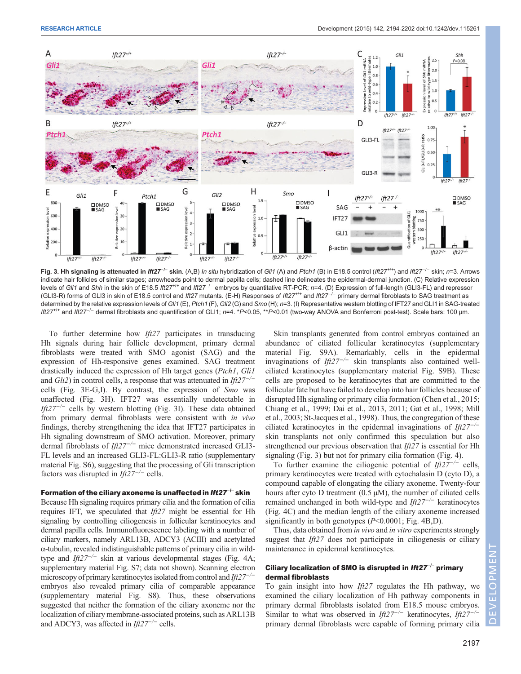

Fig. 3. Hh signaling is attenuated in *Ift2T<sup>- |</sup>* skin. (A,B) *In situ* hybridization of Gli1 (A) and Ptch1 (B) in E18.5 control (Ift27<sup>+/+</sup>) and Ift27<sup>-/−</sup> skin; n=3. Arrows indicate hair follicles of similar stages; arrowheads point to dermal papilla cells; dashed line delineates the epidermal-dermal junction. (C) Relative expression levels of Gli1 and Shh in the skin of E18.5 Ift27<sup>+/+</sup> and Ift27<sup>-/−</sup> embryos by quantitative RT-PCR; n=4. (D) Expression of full-length (GLI3-FL) and repressor (GLI3-R) forms of GLI3 in skin of E18.5 control and Ift27 mutants. (E-H) Responses of Ift27<sup>+/+</sup> and Ift27<sup>-/-</sup> primary dermal fibroblasts to SAG treatment as determined by the relative expression levels of Gli1 (E), Ptch1 (F), Gli2 (G) and Smo (H); n=3. (I) Representative western blotting of IFT27 and GLI1 in SAG-treated Ift27+/+ and Ift27−/<sup>−</sup> dermal fibroblasts and quantification of GLI1; <sup>n</sup>=4. \*P<0.05, \*\*P<0.01 (two-way ANOVA and Bonferroni post-test). Scale bars: 100 µm.

To further determine how Ift27 participates in transducing Hh signals during hair follicle development, primary dermal fibroblasts were treated with SMO agonist (SAG) and the expression of Hh-responsive genes examined. SAG treatment drastically induced the expression of Hh target genes (Ptch1, Gli1 and Gli2) in control cells, a response that was attenuated in Ift2 $7^{-/-}$ cells (Fig. 3E-G,I). By contrast, the expression of Smo was unaffected (Fig. 3H). IFT27 was essentially undetectable in Ift27<sup>- $/-$ </sup> cells by western blotting (Fig. 3I). These data obtained from primary dermal fibroblasts were consistent with in vivo findings, thereby strengthening the idea that IFT27 participates in Hh signaling downstream of SMO activation. Moreover, primary dermal fibroblasts of *Ift27<sup>-/-</sup>* mice demonstrated increased GLI3-FL levels and an increased GLI3-FL:GLI3-R ratio ([supplementary](http://dev.biologists.org/lookup/suppl/doi:10.1242/dev.115261/-/DC1) [material Fig. S6](http://dev.biologists.org/lookup/suppl/doi:10.1242/dev.115261/-/DC1)), suggesting that the processing of Gli transcription factors was disrupted in  $If z^2$ <sup>-/-</sup> cells.

## Formation of the ciliary axoneme is unaffected in Ift27<sup>−/−</sup> skin

Because Hh signaling requires primary cilia and the formation of cilia requires IFT, we speculated that Ift27 might be essential for Hh signaling by controlling ciliogenesis in follicular keratinocytes and dermal papilla cells. Immunofluorescence labeling with a number of ciliary markers, namely ARL13B, ADCY3 (ACIII) and acetylated α-tubulin, revealed indistinguishable patterns of primary cilia in wildtype and Ift27<sup>- $\div$ </sup> skin at various developmental stages (Fig. 4A; [supplementary material Fig. S7](http://dev.biologists.org/lookup/suppl/doi:10.1242/dev.115261/-/DC1); data not shown). Scanning electron microscopy of primary keratinocytes isolated from control and Ift27<sup>-/−</sup> embryos also revealed primary cilia of comparable appearance [\(supplementary material Fig. S8\)](http://dev.biologists.org/lookup/suppl/doi:10.1242/dev.115261/-/DC1). Thus, these observations suggested that neither the formation of the ciliary axoneme nor the localization of ciliary membrane-associated proteins, such as ARL13B and ADCY3, was affected in  $If \frac{t}{27}$  cells.

Skin transplants generated from control embryos contained an abundance of ciliated follicular keratinocytes [\(supplementary](http://dev.biologists.org/lookup/suppl/doi:10.1242/dev.115261/-/DC1) [material Fig. S9A](http://dev.biologists.org/lookup/suppl/doi:10.1242/dev.115261/-/DC1)). Remarkably, cells in the epidermal invaginations of Ift $27^{-/-}$  skin transplants also contained wellciliated keratinocytes ([supplementary material Fig. S9B\)](http://dev.biologists.org/lookup/suppl/doi:10.1242/dev.115261/-/DC1). These cells are proposed to be keratinocytes that are committed to the follicular fate but have failed to develop into hair follicles because of disrupted Hh signaling or primary cilia formation (Chen et al., 2015; Chiang et al., 1999; Dai et al., 2013, 2011; Gat et al., 1998; Mill et al., 2003; St-Jacques et al., 1998). Thus, the congregation of these ciliated keratinocytes in the epidermal invaginations of  $If \frac{\partial 27}{\partial 27}$ skin transplants not only confirmed this speculation but also strengthened our previous observation that *Ift27* is essential for Hh signaling (Fig. 3) but not for primary cilia formation (Fig. 4).

To further examine the ciliogenic potential of  $If z^2$ <sup>-/−</sup> cells, primary keratinocytes were treated with cytochalasin D (cyto D), a compound capable of elongating the ciliary axoneme. Twenty-four hours after cyto D treatment  $(0.5 \mu M)$ , the number of ciliated cells remained unchanged in both wild-type and  $If z^2$ <sup>-/−</sup> keratinocytes (Fig. 4C) and the median length of the ciliary axoneme increased significantly in both genotypes  $(P<0.0001$ ; Fig. 4B,D).

Thus, data obtained from *in vivo* and *in vitro* experiments strongly suggest that  $If  $\ell$  = 7$  does not participate in ciliogenesis or ciliary maintenance in epidermal keratinocytes.

# Ciliary localization of SMO is disrupted in Ift27<sup>-/-</sup> primary dermal fibroblasts

To gain insight into how  $If *t*27 regulates the Hh pathway, we$ examined the ciliary localization of Hh pathway components in primary dermal fibroblasts isolated from E18.5 mouse embryos. Similar to what was observed in Ift27<sup>-/-</sup> keratinocytes, Ift27<sup>-/-</sup> primary dermal fibroblasts were capable of forming primary cilia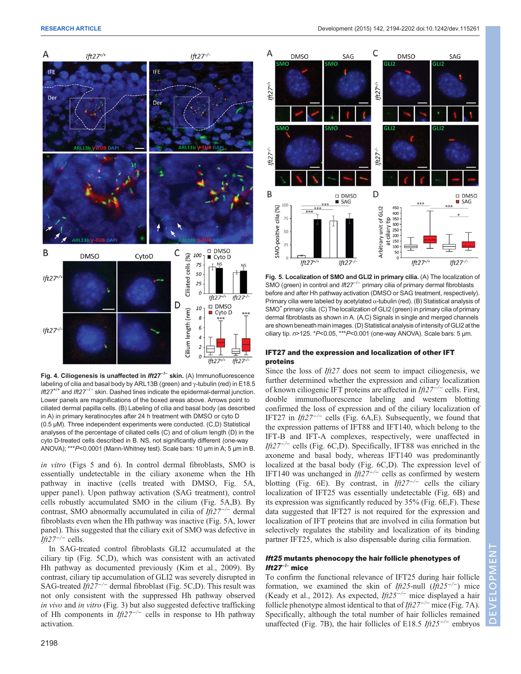



Fig. 4. Ciliogenesis is unaffected in  $If 27^{-/-}$  skin. (A) Immunofluorescence labeling of cilia and basal body by ARL13B (green) and γ-tubulin (red) in E18.5 Ift27<sup>+/+</sup> and Ift27<sup>-/-</sup> skin. Dashed lines indicate the epidermal-dermal junction. Lower panels are magnifications of the boxed areas above. Arrows point to ciliated dermal papilla cells. (B) Labeling of cilia and basal body (as described in A) in primary keratinocytes after 24 h treatment with DMSO or cyto D (0.5 µM). Three independent experiments were conducted. (C,D) Statistical analyses of the percentage of ciliated cells (C) and of cilium length (D) in the cyto D-treated cells described in B. NS, not significantly different (one-way ANOVA); \*\*\*P<0.0001 (Mann-Whitney test). Scale bars: 10 µm in A; 5 µm in B.

in vitro (Figs 5 and 6). In control dermal fibroblasts, SMO is essentially undetectable in the ciliary axoneme when the Hh pathway in inactive (cells treated with DMSO, Fig. 5A, upper panel). Upon pathway activation (SAG treatment), control cells robustly accumulated SMO in the cilium (Fig. 5A,B). By contrast, SMO abnormally accumulated in cilia of Ift27−/<sup>−</sup> dermal fibroblasts even when the Hh pathway was inactive (Fig. 5A, lower panel). This suggested that the ciliary exit of SMO was defective in Ift27<sup>-/-</sup> cells.

In SAG-treated control fibroblasts GLI2 accumulated at the ciliary tip (Fig. 5C,D), which was consistent with an activated Hh pathway as documented previously (Kim et al., 2009). By contrast, ciliary tip accumulation of GLI2 was severely disrupted in SAG-treated Ift27<sup>- $\prime$ -</sup> dermal fibroblast (Fig. 5C,D). This result was not only consistent with the suppressed Hh pathway observed in vivo and in vitro (Fig. 3) but also suggested defective trafficking of Hh components in  $If z^2$ <sup>-/−</sup> cells in response to Hh pathway activation.



Fig. 5. Localization of SMO and GLI2 in primary cilia. (A) The localization of SMO (green) in control and Ift27<sup>-/-</sup> primary cilia of primary dermal fibroblasts before and after Hh pathway activation (DMSO or SAG treatment, respectively). Primary cilia were labeled by acetylated  $\alpha$ -tubulin (red). (B) Statistical analysis of SMO<sup>+</sup> primary cilia. (C) The localization of GLI2 (green) in primary cilia of primary dermal fibroblasts as shown in A. (A,C) Signals in single and merged channels are shown beneath main images. (D) Statistical analysis of intensity of GLI2 at the ciliary tip. n>125. \*P<0.05, \*\*\*P<0.001 (one-way ANOVA). Scale bars: 5 µm.

## IFT27 and the expression and localization of other IFT proteins

Since the loss of Ift27 does not seem to impact ciliogenesis, we further determined whether the expression and ciliary localization of known ciliogenic IFT proteins are affected in  $If 27^{-/-}$  cells. First, double immunofluorescence labeling and western blotting confirmed the loss of expression and of the ciliary localization of IFT27 in Ift27<sup>- $/-$ </sup> cells (Fig. 6A,E). Subsequently, we found that the expression patterns of IFT88 and IFT140, which belong to the IFT-B and IFT-A complexes, respectively, were unaffected in Ift27<sup>- $\prime$ -</sup> cells (Fig. 6C,D). Specifically, IFT88 was enriched in the axoneme and basal body, whereas IFT140 was predominantly localized at the basal body (Fig. 6C,D). The expression level of IFT140 was unchanged in  $If z^2$ <sup>-/-</sup> cells as confirmed by western blotting (Fig. 6E). By contrast, in Ift27<sup>-/-</sup> cells the ciliary localization of IFT25 was essentially undetectable (Fig. 6B) and its expression was significantly reduced by 35% (Fig. 6E,F). These data suggested that IFT27 is not required for the expression and localization of IFT proteins that are involved in cilia formation but selectively regulates the stability and localization of its binding partner IFT25, which is also dispensable during cilia formation.

# Ift25 mutants phenocopy the hair follicle phenotypes of Ift27−/<sup>−</sup> mice

To confirm the functional relevance of IFT25 during hair follicle formation, we examined the skin of Ift25-null (Ift25<sup>-/-</sup>) mice (Keady et al., 2012). As expected, Ift25−/<sup>−</sup> mice displayed a hair follicle phenotype almost identical to that of Ift $27^{-/-}$  mice (Fig. 7A). Specifically, although the total number of hair follicles remained unaffected (Fig. 7B), the hair follicles of E18.5 Ift25<sup>-/−</sup> embryos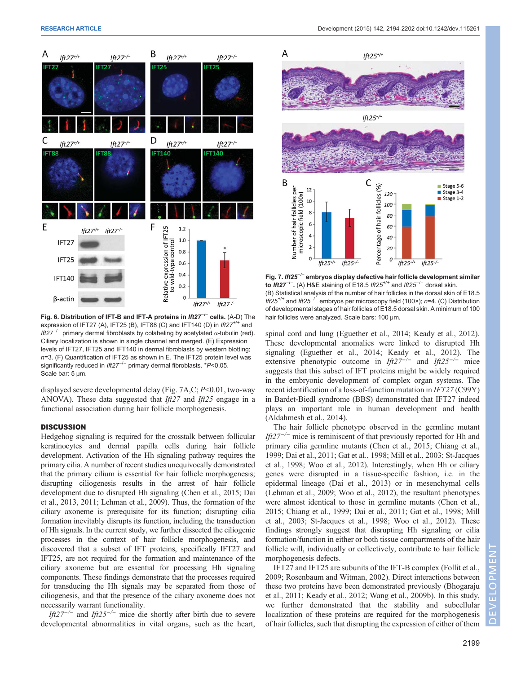

Fig. 6. Distribution of IFT-B and IFT-A proteins in Ift27<sup>-/−</sup> cells. (A-D) The expression of IFT27 (A), IFT25 (B), IFT88 (C) and IFT140 (D) in  $\text{If}27^{++}$  and Ift27<sup>-/-</sup> primary dermal fibroblasts by colabeling by acetylated  $α$ -tubulin (red). Ciliary localization is shown in single channel and merged. (E) Expression levels of IFT27, IFT25 and IFT140 in dermal fibroblasts by western blotting;  $n=3$ . (F) Quantification of IFT25 as shown in E. The IFT25 protein level was significantly reduced in Ift27<sup>-/-</sup> primary dermal fibroblasts. \*P<0.05. Scale bar: 5 µm.

displayed severe developmental delay (Fig. 7A,C; P<0.01, two-way ANOVA). These data suggested that  $If 27$  and  $If 25$  engage in a functional association during hair follicle morphogenesis.

## **DISCUSSION**

Hedgehog signaling is required for the crosstalk between follicular keratinocytes and dermal papilla cells during hair follicle development. Activation of the Hh signaling pathway requires the primary cilia. A number of recent studies unequivocally demonstrated that the primary cilium is essential for hair follicle morphogenesis; disrupting ciliogenesis results in the arrest of hair follicle development due to disrupted Hh signaling (Chen et al., 2015; Dai et al., 2013, 2011; Lehman et al., 2009). Thus, the formation of the ciliary axoneme is prerequisite for its function; disrupting cilia formation inevitably disrupts its function, including the transduction of Hh signals. In the current study, we further dissected the ciliogenic processes in the context of hair follicle morphogenesis, and discovered that a subset of IFT proteins, specifically IFT27 and IFT25, are not required for the formation and maintenance of the ciliary axoneme but are essential for processing Hh signaling components. These findings demonstrate that the processes required for transducing the Hh signals may be separated from those of ciliogenesis, and that the presence of the ciliary axoneme does not necessarily warrant functionality.

Ift27<sup>-/-</sup> and Ift25<sup>-/-</sup> mice die shortly after birth due to severe developmental abnormalities in vital organs, such as the heart,



Fig. 7. Ift25−/<sup>−</sup> embryos display defective hair follicle development similar to Ift27<sup>-/-</sup>. (A) H&E staining of E18.5 Ift25<sup>+/+</sup> and Ift25<sup>-/-</sup> dorsal skin. (B) Statistical analysis of the number of hair follicles in the dorsal skin of E18.5 Ift25<sup>+/+</sup> and Ift25<sup>-/-</sup> embryos per microscopy field (100×); n=4. (C) Distribution of developmental stages of hair follicles of E18.5 dorsal skin. A minimum of 100 hair follicles were analyzed. Scale bars: 100 µm.

spinal cord and lung (Eguether et al., 2014; Keady et al., 2012). These developmental anomalies were linked to disrupted Hh signaling (Eguether et al., 2014; Keady et al., 2012). The extensive phenotypic outcome in  $If z^{\gamma-/-}$  and  $If z^{\gamma-/-}$  mice suggests that this subset of IFT proteins might be widely required in the embryonic development of complex organ systems. The recent identification of a loss-of-function mutation in IFT27 (C99Y) in Bardet-Biedl syndrome (BBS) demonstrated that IFT27 indeed plays an important role in human development and health (Aldahmesh et al., 2014).

The hair follicle phenotype observed in the germline mutant Ift27<sup>-/-</sup> mice is reminiscent of that previously reported for Hh and primary cilia germline mutants (Chen et al., 2015; Chiang et al., 1999; Dai et al., 2011; Gat et al., 1998; Mill et al., 2003; St-Jacques et al., 1998; Woo et al., 2012). Interestingly, when Hh or ciliary genes were disrupted in a tissue-specific fashion, i.e. in the epidermal lineage (Dai et al., 2013) or in mesenchymal cells (Lehman et al., 2009; Woo et al., 2012), the resultant phenotypes were almost identical to those in germline mutants (Chen et al., 2015; Chiang et al., 1999; Dai et al., 2011; Gat et al., 1998; Mill et al., 2003; St-Jacques et al., 1998; Woo et al., 2012). These findings strongly suggest that disrupting Hh signaling or cilia formation/function in either or both tissue compartments of the hair follicle will, individually or collectively, contribute to hair follicle morphogenesis defects.

IFT27 and IFT25 are subunits of the IFT-B complex (Follit et al., 2009; Rosenbaum and Witman, 2002). Direct interactions between these two proteins have been demonstrated previously (Bhogaraju et al., 2011; Keady et al., 2012; Wang et al., 2009b). In this study, we further demonstrated that the stability and subcellular localization of these proteins are required for the morphogenesis of hair follicles, such that disrupting the expression of either of them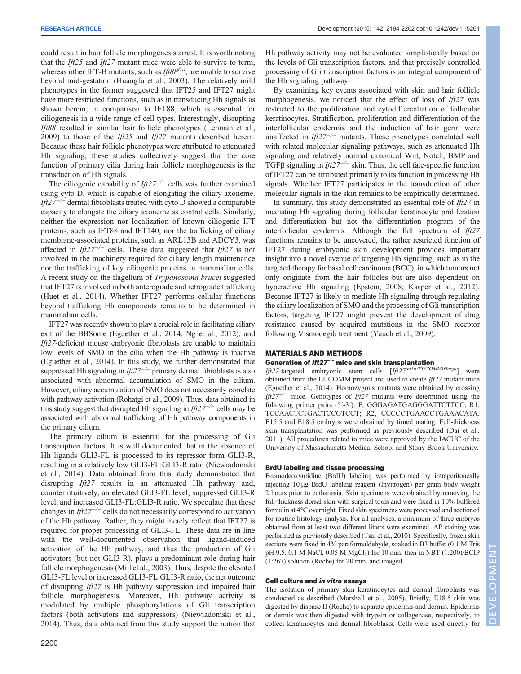could result in hair follicle morphogenesis arrest. It is worth noting that the  $If25$  and  $If27$  mutant mice were able to survive to term, whereas other IFT-B mutants, such as  $If 88<sup>f</sup>$ , are unable to survive beyond mid-gestation (Huangfu et al., 2003). The relatively mild phenotypes in the former suggested that IFT25 and IFT27 might have more restricted functions, such as in transducing Hh signals as shown herein, in comparison to IFT88, which is essential for ciliogenesis in a wide range of cell types. Interestingly, disrupting Ift88 resulted in similar hair follicle phenotypes (Lehman et al., 2009) to those of the  $Ift25$  and  $Ift27$  mutants described herein. Because these hair follicle phenotypes were attributed to attenuated Hh signaling, these studies collectively suggest that the core function of primary cilia during hair follicle morphogenesis is the transduction of Hh signals.

The ciliogenic capability of Ift27<sup>-/−</sup> cells was further examined using cyto D, which is capable of elongating the ciliary axoneme. Ift27<sup>-/-</sup> dermal fibroblasts treated with cyto D showed a comparable capacity to elongate the ciliary axoneme as control cells. Similarly, neither the expression nor localization of known ciliogenic IFT proteins, such as IFT88 and IFT140, nor the trafficking of ciliary membrane-associated proteins, such as ARL13B and ADCY3, was affected in  $If 27^{-/-}$  cells. These data suggested that  $If 27$  is not involved in the machinery required for ciliary length maintenance nor the trafficking of key ciliogenic proteins in mammalian cells. A recent study on the flagellum of Trypanosoma brucei suggested that IFT27 is involved in both anterograde and retrograde trafficking (Huet et al., 2014). Whether IFT27 performs cellular functions beyond trafficking Hh components remains to be determined in mammalian cells.

IFT27 was recently shown to play a crucial role in facilitating ciliary exit of the BBSome (Eguether et al., 2014; Ng et al., 2012), and Ift27-deficient mouse embryonic fibroblasts are unable to maintain low levels of SMO in the cilia when the Hh pathway is inactive (Eguether et al., 2014). In this study, we further demonstrated that suppressed Hh signaling in  $If 27^{-/-}$  primary dermal fibroblasts is also associated with abnormal accumulation of SMO in the cilium. However, ciliary accumulation of SMO does not necessarily correlate with pathway activation (Rohatgi et al., 2009). Thus, data obtained in this study suggest that disrupted Hh signaling in  $If \frac{27}{10}$  cells may be associated with abnormal trafficking of Hh pathway components in the primary cilium.

The primary cilium is essential for the processing of Gli transcription factors. It is well documented that in the absence of Hh ligands GLI3-FL is processed to its repressor form GLI3-R, resulting in a relatively low GLI3-FL:GLI3-R ratio (Niewiadomski et al., 2014). Data obtained from this study demonstrated that disrupting Ift27 results in an attenuated Hh pathway and, counterintuitively, an elevated GLI3-FL level, suppressed GLI3-R level, and increased GLI3-FL:GLI3-R ratio. We speculate that these changes in  $If 27<sup>-/-</sup>$  cells do not necessarily correspond to activation of the Hh pathway. Rather, they might merely reflect that IFT27 is required for proper processing of GLI3-FL. These data are in line with the well-documented observation that ligand-induced activation of the Hh pathway, and thus the production of Gli activators (but not GLI3-R), plays a predominant role during hair follicle morphogenesis (Mill et al., 2003). Thus, despite the elevated GLI3-FL level or increased GLI3-FL:GLI3-R ratio, the net outcome of disrupting Ift27 is Hh pathway suppression and impaired hair follicle morphogenesis. Moreover, Hh pathway activity is modulated by multiple phosphorylations of Gli transcription factors (both activators and suppressors) (Niewiadomski et al., 2014). Thus, data obtained from this study support the notion that

Hh pathway activity may not be evaluated simplistically based on the levels of Gli transcription factors, and that precisely controlled processing of Gli transcription factors is an integral component of the Hh signaling pathway.

By examining key events associated with skin and hair follicle morphogenesis, we noticed that the effect of loss of  $If *f*27$  was restricted to the proliferation and cytodifferentiation of follicular keratinocytes. Stratification, proliferation and differentiation of the interfollicular epidermis and the induction of hair germ were unaffected in  $If z^{\gamma-/-}$  mutants. These phenotypes correlated well with related molecular signaling pathways, such as attenuated Hh signaling and relatively normal canonical Wnt, Notch, BMP and TGFβ signaling in  $If z^{7-/-}$  skin. Thus, the cell fate-specific function of IFT27 can be attributed primarily to its function in processing Hh signals. Whether IFT27 participates in the transduction of other molecular signals in the skin remains to be empirically determined.

In summary, this study demonstrated an essential role of  $If \frac{\partial 27}{\partial 1}$  in mediating Hh signaling during follicular keratinocyte proliferation and differentiation but not the differentiation program of the interfollicular epidermis. Although the full spectrum of *Ift27* functions remains to be uncovered, the rather restricted function of IFT27 during embryonic skin development provides important insight into a novel avenue of targeting Hh signaling, such as in the targeted therapy for basal cell carcinoma (BCC), in which tumors not only originate from the hair follicles but are also dependent on hyperactive Hh signaling (Epstein, 2008; Kasper et al., 2012). Because IFT27 is likely to mediate Hh signaling through regulating the ciliary localization of SMO and the processing of Gli transcription factors, targeting IFT27 might prevent the development of drug resistance caused by acquired mutations in the SMO receptor following Vismodegib treatment (Yauch et al., 2009).

# MATERIALS AND METHODS

# Generation of *Ift27<sup>-/-</sup>* mice and skin transplantation

Ift27-targeted embryonic stem cells  $[If z27^{tm1a(EUCOMM)Hmgu}]$  were obtained from the EUCOMM project and used to create  $If  $t$  = 27$  mutant mice (Eguether et al., 2014). Homozygous mutants were obtained by crossing Ift27<sup>+/−</sup> mice. Genotypes of Ift27 mutants were determined using the following primer pairs (5′-3′): F, GGGAGATGAGGGATTCTTCC; R1, TCCAACTCTGACTCCGTCCT; R2, CCCCCTGAACCTGAAACATA. E15.5 and E18.5 embryos were obtained by timed mating. Full-thickness skin transplantation was performed as previously described (Dai et al., 2011). All procedures related to mice were approved by the IACUC of the University of Massachusetts Medical School and Stony Brook University.

## BrdU labeling and tissue processing

Bromodeoxyuridine (BrdU) labeling was performed by intraperitoneally injecting 10 µg BrdU labeling reagent (Invitrogen) per gram body weight 2 hours prior to euthanasia. Skin specimens were obtained by removing the full-thickness dorsal skin with surgical tools and were fixed in 10% buffered formalin at 4°C overnight. Fixed skin specimens were processed and sectioned for routine histology analysis. For all analyses, a minimum of three embryos obtained from at least two different litters were examined. AP staining was performed as previously described (Tsai et al., 2010). Specifically, frozen skin sections were fixed in 4% paraformaldehyde, soaked in B3 buffer (0.1 M Tris pH 9.5, 0.1 M NaCl, 0.05 M MgCl<sub>2</sub>) for 10 min, then in NBT (1:200)/BCIP (1:267) solution (Roche) for 20 min, and imaged.

## Cell culture and in vitro assays

The isolation of primary skin keratinocytes and dermal fibroblasts was conducted as described (Marshall et al., 2005). Briefly, E18.5 skin was digested by dispase II (Roche) to separate epidermis and dermis. Epidermis or dermis was then digested with trypsin or collagenase, respectively, to collect keratinocytes and dermal fibroblasts. Cells were used directly for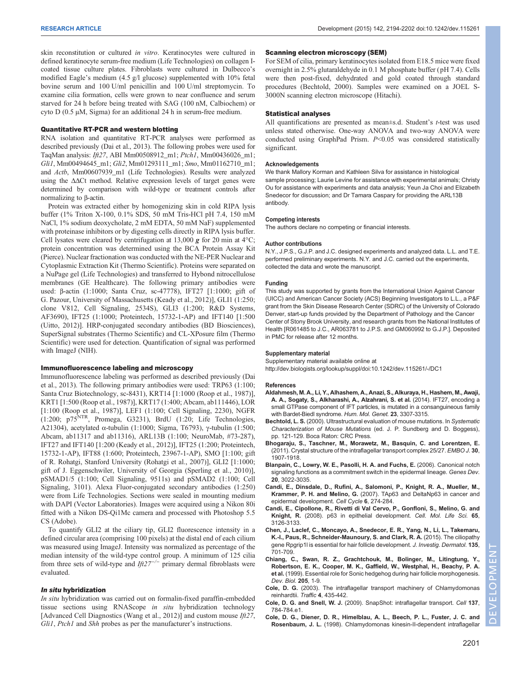skin reconstitution or cultured in vitro. Keratinocytes were cultured in defined keratinocyte serum-free medium (Life Technologies) on collagen Icoated tissue culture plates. Fibroblasts were cultured in Dulbecco's modified Eagle's medium (4.5 g/l glucose) supplemented with 10% fetal bovine serum and 100 U/ml penicillin and 100 U/ml streptomycin. To examine cilia formation, cells were grown to near confluence and serum starved for 24 h before being treated with SAG (100 nM, Calbiochem) or cyto D (0.5 µM, Sigma) for an additional 24 h in serum-free medium.

## Quantitative RT-PCR and western blotting

RNA isolation and quantitative RT-PCR analyses were performed as described previously (Dai et al., 2013). The following probes were used for TaqMan analysis: Ift27, ABI Mm00508912\_m1; Ptch1, Mm00436026\_m1; Gli1, Mm00494645\_m1; Gli2, Mm01293111\_m1; Smo, Mm01162710\_m1; and Actb, Mm00607939\_m1 (Life Technologies). Results were analyzed using the ΔΔCt method. Relative expression levels of target genes were determined by comparison with wild-type or treatment controls after normalizing to β-actin.

Protein was extracted either by homogenizing skin in cold RIPA lysis buffer (1% Triton X-100, 0.1% SDS, 50 mM Tris-HCl pH 7.4, 150 mM NaCl, 1% sodium deoxycholate, 2 mM EDTA, 50 mM NaF) supplemented with proteinase inhibitors or by digesting cells directly in RIPA lysis buffer. Cell lysates were cleared by centrifugation at 13,000  $g$  for 20 min at 4<sup>o</sup>C; protein concentration was determined using the BCA Protein Assay Kit (Pierce). Nuclear fractionation was conducted with the NE-PER Nuclear and Cytoplasmic Extraction Kit (Thermo Scientific). Proteins were separated on a NuPage gel (Life Technologies) and transferred to Hybond nitrocellulose membranes (GE Healthcare). The following primary antibodies were used: β-actin (1:1000; Santa Cruz, sc-47778), IFT27 [1:1000; gift of G. Pazour, University of Massachusetts (Keady et al., 2012)], GLI1 (1:250; clone V812, Cell Signaling, 2534S), GLI3 (1:200; R&D Systems, AF3690), IFT25 (1:1000; Proteintech, 15732-1-AP) and IFT140 [1:500 (Uitto, 2012)]. HRP-conjugated secondary antibodies (BD Biosciences), SuperSignal substrates (Thermo Scientific) and CL-XPosure film (Thermo Scientific) were used for detection. Quantification of signal was performed with ImageJ (NIH).

## Immunofluorescence labeling and microscopy

Immunofluorescence labeling was performed as described previously (Dai et al., 2013). The following primary antibodies were used: TRP63 (1:100; Santa Cruz Biotechnology, sc-8431), KRT14 [1:1000 (Roop et al., 1987)], KRT1 [1:500 (Roop et al., 1987)], KRT17 (1:400; Abcam, ab111446), LOR [1:100 (Roop et al., 1987)], LEF1 (1:100; Cell Signaling, 2230), NGFR (1:200;  $p75^{NTR}$ , Promega, G3231), BrdU (1:20; Life Technologies, A21304), acetylated α-tubulin (1:1000; Sigma, T6793), γ-tubulin (1:500; Abcam, ab11317 and ab11316), ARL13B (1:100; NeuroMab, #73-287), IFT27 and IFT140 [1:200 (Keady et al., 2012)], IFT25 (1:200; Proteintech, 15732-1-AP), IFT88 (1:600; Proteintech, 23967-1-AP), SMO [1:100; gift of R. Rohatgi, Stanford University (Rohatgi et al., 2007)], GLI2 [1:1000; gift of J. Eggenschwiler, University of Georgia (Sperling et al., 2010)], pSMAD1/5 (1:100; Cell Signaling, 9511s) and pSMAD2 (1:100; Cell Signaling, 3101). Alexa Fluor-conjugated secondary antibodies (1:250) were from Life Technologies. Sections were sealed in mounting medium with DAPI (Vector Laboratories). Images were acquired using a Nikon 80i fitted with a Nikon DS-Qi1Mc camera and processed with Photoshop 5.5 CS (Adobe).

To quantify GLI2 at the ciliary tip, GLI2 fluorescence intensity in a defined circular area (comprising 100 pixels) at the distal end of each cilium was measured using ImageJ. Intensity was normalized as percentage of the median intensity of the wild-type control group. A minimum of 125 cilia from three sets of wild-type and  $If z \sim z^{-1/2}$  primary dermal fibroblasts were evaluated.

## In situ hybridization

In situ hybridization was carried out on formalin-fixed paraffin-embedded tissue sections using RNAScope in situ hybridization technology [Advanced Cell Diagnostics (Wang et al., 2012)] and custom mouse *Ift27*, Gli1, Ptch1 and Shh probes as per the manufacturer's instructions.

### Scanning electron microscopy (SEM)

For SEM of cilia, primary keratinocytes isolated from E18.5 mice were fixed overnight in 2.5% glutaraldehyde in 0.1 M phosphate buffer ( pH 7.4). Cells were then post-fixed, dehydrated and gold coated through standard procedures (Bechtold, 2000). Samples were examined on a JOEL S-3000N scanning electron microscope (Hitachi).

## Statistical analyses

All quantifications are presented as mean±s.d. Student's t-test was used unless stated otherwise. One-way ANOVA and two-way ANOVA were conducted using GraphPad Prism.  $P<0.05$  was considered statistically significant.

## Acknowledgements

We thank Mallory Korman and Kathleen Silva for assistance in histological sample processing; Laurie Levine for assistance with experimental animals; Christy Ou for assistance with experiments and data analysis; Yeun Ja Choi and Elizabeth Snedecor for discussion; and Dr Tamara Caspary for providing the ARL13B antibody.

### Competing interests

The authors declare no competing or financial interests.

#### Author contributions

N.Y., J.P.S., G.J.P. and J.C. designed experiments and analyzed data. L.L. and T.E. performed preliminary experiments. N.Y. and J.C. carried out the experiments, collected the data and wrote the manuscript.

### Funding

This study was supported by grants from the International Union Against Cancer (UICC) and American Cancer Society (ACS) Beginning Investigators to L.L., a P&F grant from the Skin Disease Research Center (SDRC) of the University of Colorado Denver, start-up funds provided by the Department of Pathology and the Cancer Center of Stony Brook University, and research grants from the National Institutes of Health [R061485 to J.C., AR063781 to J.P.S. and GM060992 to G.J.P.]. Deposited in PMC for release after 12 months.

#### Supplementary material

Supplementary material available online at

<http://dev.biologists.org/lookup/suppl/doi:10.1242/dev.115261/-/DC1>

#### References

- [Aldahmesh, M. A., Li, Y., Alhashem, A., Anazi, S., Alkuraya, H., Hashem, M., Awaji,](http://dx.doi.org/10.1093/hmg/ddu044) [A. A., Sogaty, S., Alkharashi, A., Alzahrani, S. et al.](http://dx.doi.org/10.1093/hmg/ddu044) (2014). IFT27, encoding a [small GTPase component of IFT particles, is mutated in a consanguineous family](http://dx.doi.org/10.1093/hmg/ddu044) [with Bardet-Biedl syndrome.](http://dx.doi.org/10.1093/hmg/ddu044) Hum. Mol. Genet. 23, 3307-3315.
- Bechtold, L. S. (2000). Ultrastructural evaluation of mouse mutations. In Systematic Characterization of Mouse Mutations (ed. J. P. Sundberg and D. Boggess), pp. 121-129. Boca Raton: CRC Press.
- [Bhogaraju, S., Taschner, M., Morawetz, M., Basquin, C. and Lorentzen, E.](http://dx.doi.org/10.1038/emboj.2011.110) [\(2011\). Crystal structure of the intraflagellar transport complex 25/27.](http://dx.doi.org/10.1038/emboj.2011.110) EMBO J. 30, [1907-1918.](http://dx.doi.org/10.1038/emboj.2011.110)
- [Blanpain, C., Lowry, W. E., Pasolli, H. A. and Fuchs, E.](http://dx.doi.org/10.1101/gad.1477606) (2006). Canonical notch [signaling functions as a commitment switch in the epidermal lineage.](http://dx.doi.org/10.1101/gad.1477606) Genes Dev. 20[, 3022-3035.](http://dx.doi.org/10.1101/gad.1477606)
- [Candi, E., Dinsdale, D., Rufini, A., Salomoni, P., Knight, R. A., Mueller, M.,](http://dx.doi.org/10.4161/cc.6.3.3797) Krammer, P. H. and Melino, G. [\(2007\). TAp63 and DeltaNp63 in cancer and](http://dx.doi.org/10.4161/cc.6.3.3797) [epidermal development.](http://dx.doi.org/10.4161/cc.6.3.3797) Cell Cycle 6, 274-284.
- [Candi, E., Cipollone, R., Rivetti di Val Cervo, P., Gonfloni, S., Melino, G. and](http://dx.doi.org/10.1007/s00018-008-8119-x) Knight, R. [\(2008\). p63 in epithelial development.](http://dx.doi.org/10.1007/s00018-008-8119-x) Cell. Mol. Life Sci. 65, [3126-3133.](http://dx.doi.org/10.1007/s00018-008-8119-x)
- [Chen, J., Laclef, C., Moncayo, A., Snedecor, E. R., Yang, N., Li, L., Takemaru,](http://dx.doi.org/10.1038/jid.2014.483) [K.-I., Paus, R., Schneider-Maunoury, S. and Clark, R. A.](http://dx.doi.org/10.1038/jid.2014.483) (2015). The ciliopathy gene Rpgrip1I is essential for hair follicle development. J. Investig. Dermatol. 135, [701-709.](http://dx.doi.org/10.1038/jid.2014.483)
- [Chiang, C., Swan, R. Z., Grachtchouk, M., Bolinger, M., Litingtung, Y.,](http://dx.doi.org/10.1006/dbio.1998.9103) [Robertson, E. K., Cooper, M. K., Gaffield, W., Westphal, H., Beachy, P. A.](http://dx.doi.org/10.1006/dbio.1998.9103) et al. [\(1999\). Essential role for Sonic hedgehog during hair follicle morphogenesis.](http://dx.doi.org/10.1006/dbio.1998.9103) [Dev. Biol.](http://dx.doi.org/10.1006/dbio.1998.9103) 205, 1-9.
- Cole, D. G. [\(2003\). The intraflagellar transport machinery of Chlamydomonas](http://dx.doi.org/10.1034/j.1600-0854.2003.t01-1-00103.x) [reinhardtii.](http://dx.doi.org/10.1034/j.1600-0854.2003.t01-1-00103.x) Traffic 4, 435-442.
- Cole, D. G. and Snell, W. J. [\(2009\). SnapShot: intraflagellar transport.](http://dx.doi.org/10.1016/j.cell.2009.04.053) Cell 137, [784-784.e1.](http://dx.doi.org/10.1016/j.cell.2009.04.053)
- [Cole, D. G., Diener, D. R., Himelblau, A. L., Beech, P. L., Fuster, J. C. and](http://dx.doi.org/10.1083/jcb.141.4.993) Rosenbaum, J. L. [\(1998\). Chlamydomonas kinesin-II-dependent intraflagellar](http://dx.doi.org/10.1083/jcb.141.4.993)